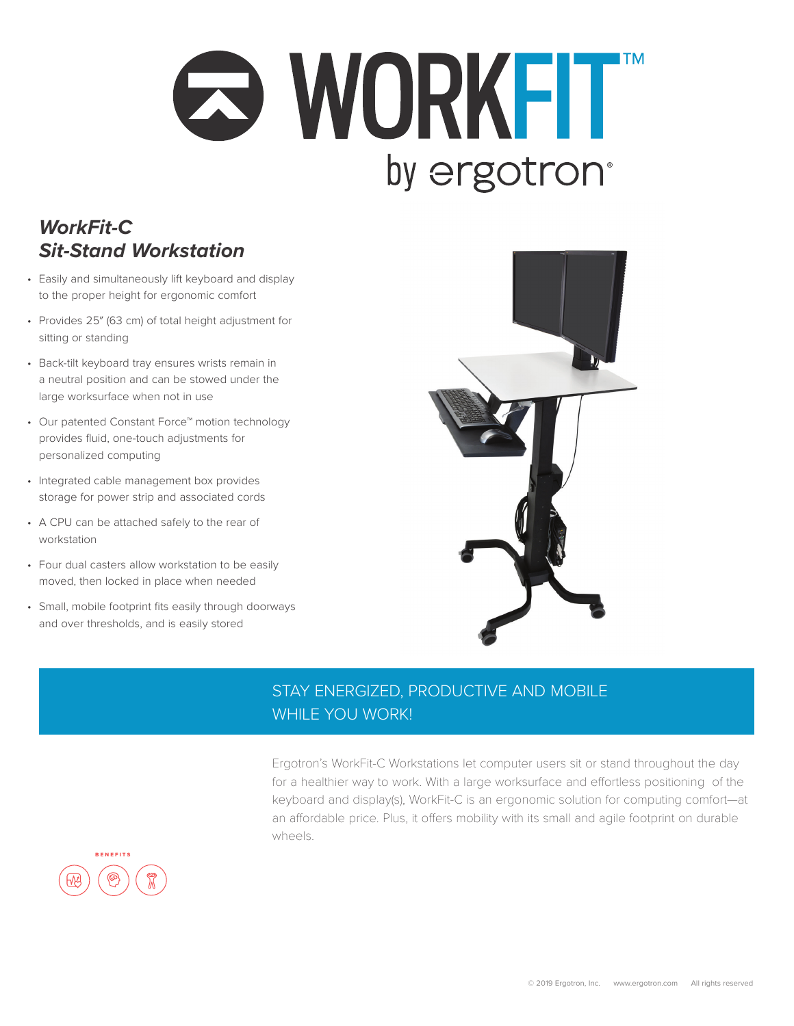## **O WORKFIT** by ergotron<sup>®</sup>

## *WorkFit-C Sit-Stand Workstation*

- Easily and simultaneously lift keyboard and display to the proper height for ergonomic comfort
- Provides 25″ (63 cm) of total height adjustment for sitting or standing
- Back-tilt keyboard tray ensures wrists remain in a neutral position and can be stowed under the large worksurface when not in use
- Our patented Constant Force™ motion technology provides fluid, one-touch adjustments for personalized computing
- Integrated cable management box provides storage for power strip and associated cords
- A CPU can be attached safely to the rear of workstation
- Four dual casters allow workstation to be easily moved, then locked in place when needed
- Small, mobile footprint fits easily through doorways and over thresholds, and is easily stored



## STAY ENERGIZED, PRODUCTIVE AND MOBILE WHILE YOU WORK!

Ergotron's WorkFit-C Workstations let computer users sit or stand throughout the day for a healthier way to work. With a large worksurface and effortless positioning of the keyboard and display(s), WorkFit-C is an ergonomic solution for computing comfort—at an affordable price. Plus, it offers mobility with its small and agile footprint on durable wheels.